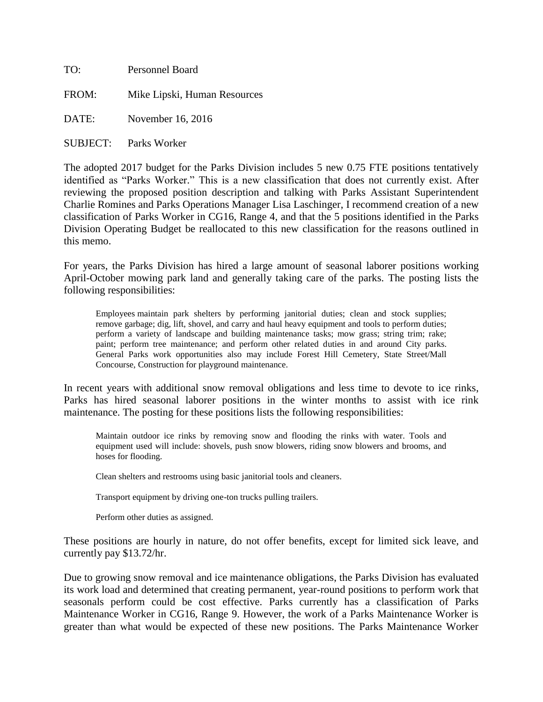| TO:      | Personnel Board              |  |
|----------|------------------------------|--|
| FROM:    | Mike Lipski, Human Resources |  |
| DATE:    | November 16, 2016            |  |
| SUBJECT: | Parks Worker                 |  |

The adopted 2017 budget for the Parks Division includes 5 new 0.75 FTE positions tentatively identified as "Parks Worker." This is a new classification that does not currently exist. After reviewing the proposed position description and talking with Parks Assistant Superintendent Charlie Romines and Parks Operations Manager Lisa Laschinger, I recommend creation of a new classification of Parks Worker in CG16, Range 4, and that the 5 positions identified in the Parks Division Operating Budget be reallocated to this new classification for the reasons outlined in this memo.

For years, the Parks Division has hired a large amount of seasonal laborer positions working April-October mowing park land and generally taking care of the parks. The posting lists the following responsibilities:

Employees maintain park shelters by performing janitorial duties; clean and stock supplies; remove garbage; dig, lift, shovel, and carry and haul heavy equipment and tools to perform duties; perform a variety of landscape and building maintenance tasks; mow grass; string trim; rake; paint; perform tree maintenance; and perform other related duties in and around City parks. General Parks work opportunities also may include Forest Hill Cemetery, State Street/Mall Concourse, Construction for playground maintenance.

In recent years with additional snow removal obligations and less time to devote to ice rinks, Parks has hired seasonal laborer positions in the winter months to assist with ice rink maintenance. The posting for these positions lists the following responsibilities:

Maintain outdoor ice rinks by removing snow and flooding the rinks with water. Tools and equipment used will include: shovels, push snow blowers, riding snow blowers and brooms, and hoses for flooding.

Clean shelters and restrooms using basic janitorial tools and cleaners.

Transport equipment by driving one-ton trucks pulling trailers.

Perform other duties as assigned.

These positions are hourly in nature, do not offer benefits, except for limited sick leave, and currently pay \$13.72/hr.

Due to growing snow removal and ice maintenance obligations, the Parks Division has evaluated its work load and determined that creating permanent, year-round positions to perform work that seasonals perform could be cost effective. Parks currently has a classification of Parks Maintenance Worker in CG16, Range 9. However, the work of a Parks Maintenance Worker is greater than what would be expected of these new positions. The Parks Maintenance Worker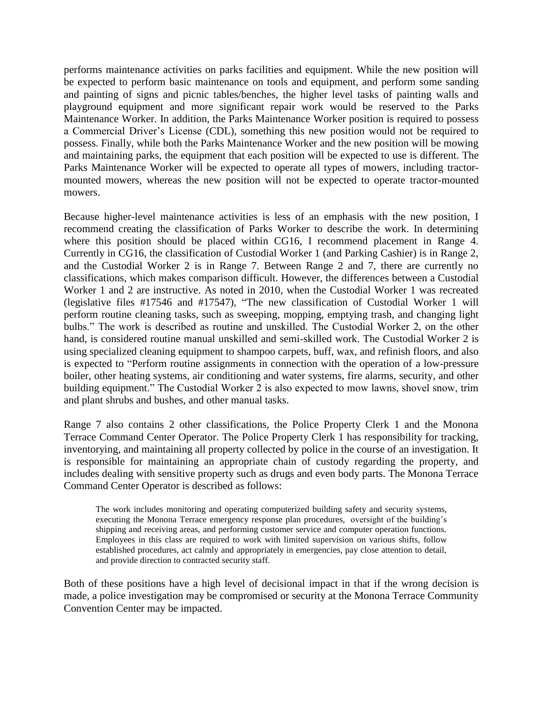performs maintenance activities on parks facilities and equipment. While the new position will be expected to perform basic maintenance on tools and equipment, and perform some sanding and painting of signs and picnic tables/benches, the higher level tasks of painting walls and playground equipment and more significant repair work would be reserved to the Parks Maintenance Worker. In addition, the Parks Maintenance Worker position is required to possess a Commercial Driver's License (CDL), something this new position would not be required to possess. Finally, while both the Parks Maintenance Worker and the new position will be mowing and maintaining parks, the equipment that each position will be expected to use is different. The Parks Maintenance Worker will be expected to operate all types of mowers, including tractormounted mowers, whereas the new position will not be expected to operate tractor-mounted mowers.

Because higher-level maintenance activities is less of an emphasis with the new position, I recommend creating the classification of Parks Worker to describe the work. In determining where this position should be placed within CG16, I recommend placement in Range 4. Currently in CG16, the classification of Custodial Worker 1 (and Parking Cashier) is in Range 2, and the Custodial Worker 2 is in Range 7. Between Range 2 and 7, there are currently no classifications, which makes comparison difficult. However, the differences between a Custodial Worker 1 and 2 are instructive. As noted in 2010, when the Custodial Worker 1 was recreated (legislative files #17546 and #17547), "The new classification of Custodial Worker 1 will perform routine cleaning tasks, such as sweeping, mopping, emptying trash, and changing light bulbs." The work is described as routine and unskilled. The Custodial Worker 2, on the other hand, is considered routine manual unskilled and semi-skilled work. The Custodial Worker 2 is using specialized cleaning equipment to shampoo carpets, buff, wax, and refinish floors, and also is expected to "Perform routine assignments in connection with the operation of a low-pressure boiler, other heating systems, air conditioning and water systems, fire alarms, security, and other building equipment." The Custodial Worker 2 is also expected to mow lawns, shovel snow, trim and plant shrubs and bushes, and other manual tasks.

Range 7 also contains 2 other classifications, the Police Property Clerk 1 and the Monona Terrace Command Center Operator. The Police Property Clerk 1 has responsibility for tracking, inventorying, and maintaining all property collected by police in the course of an investigation. It is responsible for maintaining an appropriate chain of custody regarding the property, and includes dealing with sensitive property such as drugs and even body parts. The Monona Terrace Command Center Operator is described as follows:

The work includes monitoring and operating computerized building safety and security systems, executing the Monona Terrace emergency response plan procedures, oversight of the building's shipping and receiving areas, and performing customer service and computer operation functions. Employees in this class are required to work with limited supervision on various shifts, follow established procedures, act calmly and appropriately in emergencies, pay close attention to detail, and provide direction to contracted security staff.

Both of these positions have a high level of decisional impact in that if the wrong decision is made, a police investigation may be compromised or security at the Monona Terrace Community Convention Center may be impacted.